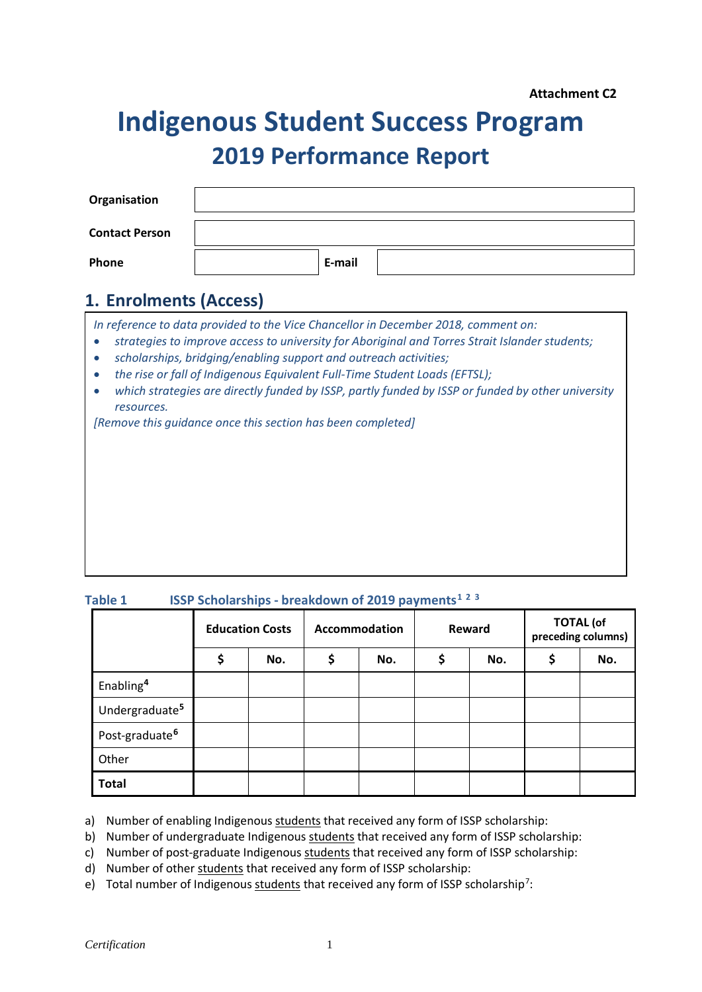# **Indigenous Student Success Program 2019 Performance Report**

| Organisation          |        |  |
|-----------------------|--------|--|
| <b>Contact Person</b> |        |  |
| Phone                 | E-mail |  |

# **1. Enrolments (Access)**

*In reference to data provided to the Vice Chancellor in December 2018, comment on:* 

- *strategies to improve access to university for Aboriginal and Torres Strait Islander students;*
- *scholarships, bridging/enabling support and outreach activities;*
- *the rise or fall of Indigenous Equivalent Full-Time Student Loads (EFTSL);*
- *which strategies are directly funded by ISSP, partly funded by ISSP or funded by other university resources.*

*[Remove this guidance once this section has been completed]*

### **Table 1 ISSP Scholarships - breakdown of 2019 payments[1](#page-5-0) [2](#page-5-1) [3](#page-5-2)**

|                            | <b>Education Costs</b> |     |   | Accommodation<br>Reward |    |     | <b>TOTAL</b> (of<br>preceding columns) |  |
|----------------------------|------------------------|-----|---|-------------------------|----|-----|----------------------------------------|--|
|                            | \$                     | No. | ⊋ | No.                     | \$ | No. | \$<br>No.                              |  |
| Enabling <sup>4</sup>      |                        |     |   |                         |    |     |                                        |  |
| Undergraduate <sup>5</sup> |                        |     |   |                         |    |     |                                        |  |
| Post-graduate <sup>6</sup> |                        |     |   |                         |    |     |                                        |  |
| Other                      |                        |     |   |                         |    |     |                                        |  |
| <b>Total</b>               |                        |     |   |                         |    |     |                                        |  |

a) Number of enabling Indigenous students that received any form of ISSP scholarship:

b) Number of undergraduate Indigenous students that received any form of ISSP scholarship:

c) Number of post-graduate Indigenous students that received any form of ISSP scholarship:

- d) Number of other students that received any form of ISSP scholarship:
- e) Total number of Indigenous students that received any form of ISSP scholarship<sup>[7](#page-5-6)</sup>: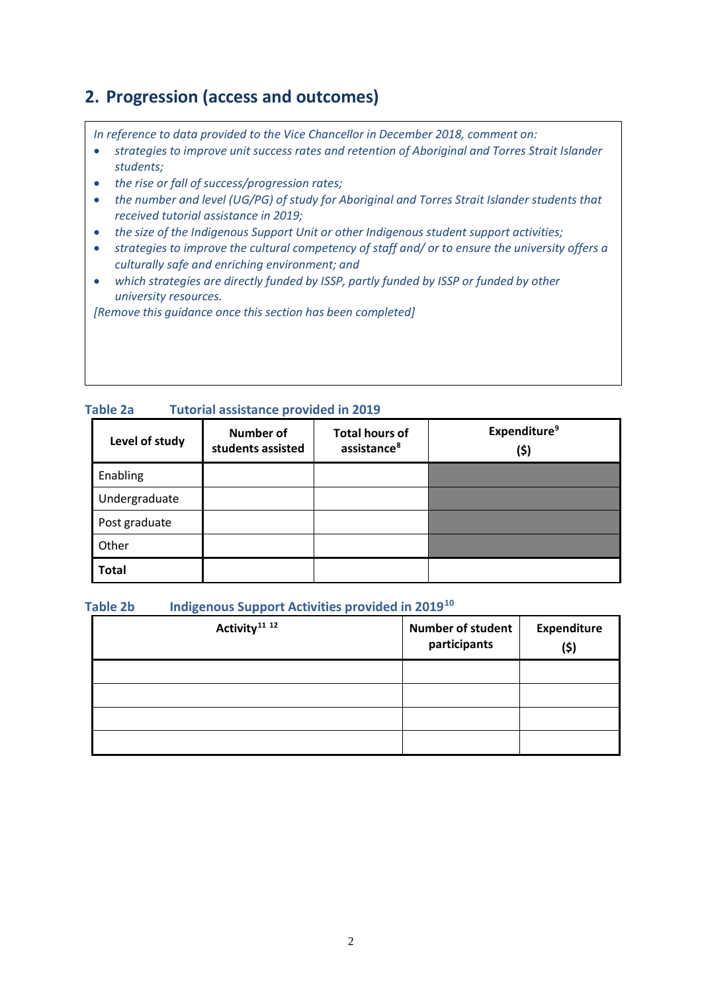## **2. Progression (access and outcomes)**

*In reference to data provided to the Vice Chancellor in December 2018, comment on:* 

- *strategies to improve unit success rates and retention of Aboriginal and Torres Strait Islander students;*
- *the rise or fall of success/progression rates;*
- *the number and level (UG/PG) of study for Aboriginal and Torres Strait Islander students that received tutorial assistance in 2019;*
- *the size of the Indigenous Support Unit or other Indigenous student support activities;*
- *strategies to improve the cultural competency of staff and/ or to ensure the university offers a culturally safe and enriching environment; and*
- *which strategies are directly funded by ISSP, partly funded by ISSP or funded by other university resources.*

*[Remove this guidance once this section has been completed]*

| Level of study | Number of<br>students assisted | <b>Total hours of</b><br>assistance <sup>8</sup> | Expenditure <sup>9</sup><br>(\$) |
|----------------|--------------------------------|--------------------------------------------------|----------------------------------|
| Enabling       |                                |                                                  |                                  |
| Undergraduate  |                                |                                                  |                                  |
| Post graduate  |                                |                                                  |                                  |
| Other          |                                |                                                  |                                  |
| <b>Total</b>   |                                |                                                  |                                  |

## **Table 2a Tutorial assistance provided in 2019**

#### **Table 2b Indigenous Support Activities provided in 2019[10](#page-5-9)**

| Activity <sup>11 12</sup> | <b>Number of student</b><br>participants | Expenditure<br>(5) |
|---------------------------|------------------------------------------|--------------------|
|                           |                                          |                    |
|                           |                                          |                    |
|                           |                                          |                    |
|                           |                                          |                    |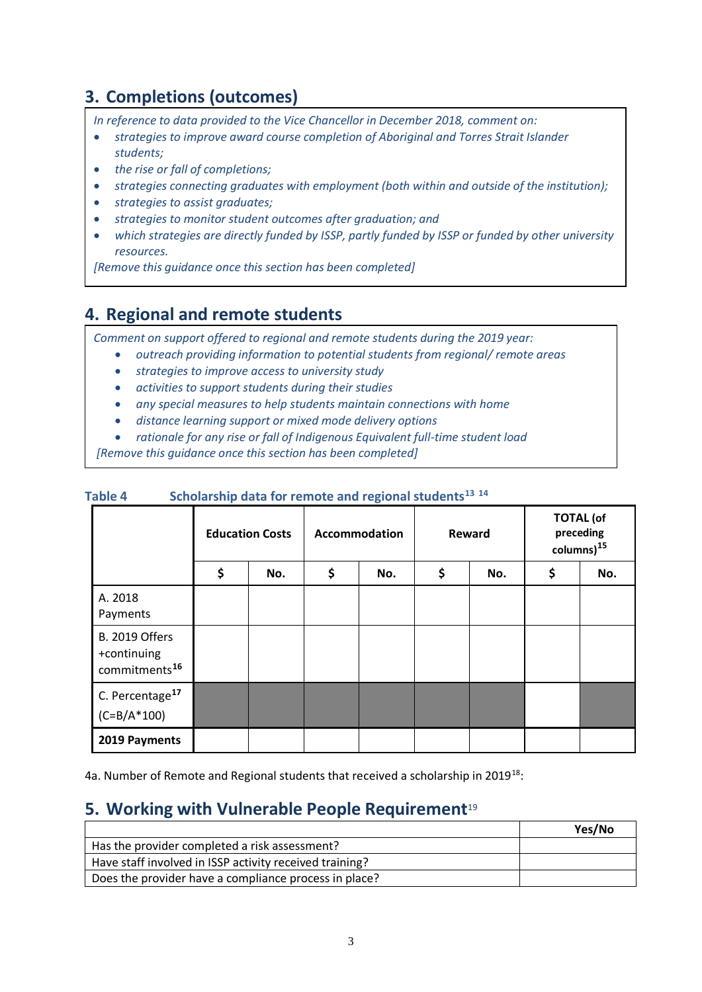# **3. Completions (outcomes)**

*In reference to data provided to the Vice Chancellor in December 2018, comment on:* 

- *strategies to improve award course completion of Aboriginal and Torres Strait Islander students;*
- *the rise or fall of completions;*
- *strategies connecting graduates with employment (both within and outside of the institution);*
- *strategies to assist graduates;*
- *strategies to monitor student outcomes after graduation; and*
- *which strategies are directly funded by ISSP, partly funded by ISSP or funded by other university resources.*

*[Remove this guidance once this section has been completed]*

## **4. Regional and remote students**

*Comment on support offered to regional and remote students during the 2019 year:*

- *outreach providing information to potential students from regional/ remote areas*
- *strategies to improve access to university study*
- *activities to support students during their studies*
- *any special measures to help students maintain connections with home*
- *distance learning support or mixed mode delivery options*
- *rationale for any rise or fall of Indigenous Equivalent full-time student load*

*[Remove this guidance once this section has been completed]*

|                                                                   | <b>Education Costs</b> |     | Accommodation |     | Reward |     | <b>TOTAL</b> (of<br>preceding<br>columns) <sup>15</sup> |     |
|-------------------------------------------------------------------|------------------------|-----|---------------|-----|--------|-----|---------------------------------------------------------|-----|
|                                                                   | \$                     | No. | \$            | No. | \$     | No. | \$                                                      | No. |
| A. 2018<br>Payments                                               |                        |     |               |     |        |     |                                                         |     |
| <b>B. 2019 Offers</b><br>+continuing<br>commitments <sup>16</sup> |                        |     |               |     |        |     |                                                         |     |
| C. Percentage <sup>17</sup><br>$(C = B/A * 100)$                  |                        |     |               |     |        |     |                                                         |     |
| 2019 Payments                                                     |                        |     |               |     |        |     |                                                         |     |

## **Table 4 Scholarship data for remote and regional students[13](#page-5-12) [14](#page-5-13)**

4a. Number of Remote and Regional students that received a scholarship in 2019<sup>[18](#page-5-17)</sup>:

## **5. Working with Vulnerable People Requirement**[19](#page-5-18)

|                                                         | Yes/No |
|---------------------------------------------------------|--------|
| Has the provider completed a risk assessment?           |        |
| Have staff involved in ISSP activity received training? |        |
| Does the provider have a compliance process in place?   |        |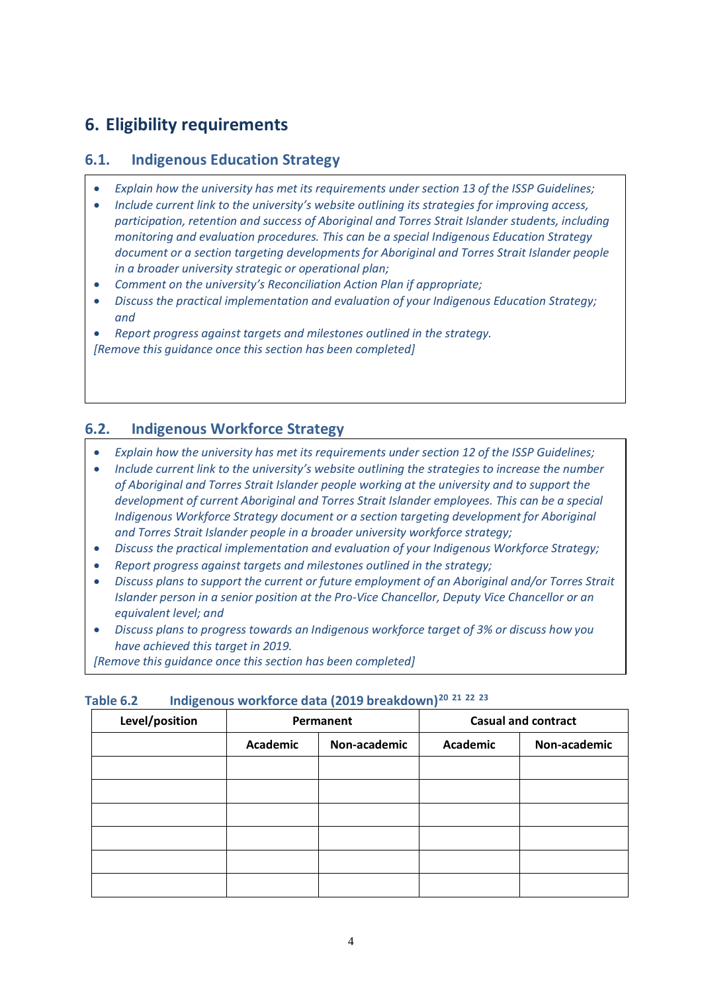# **6. Eligibility requirements**

## **6.1. Indigenous Education Strategy**

- *Explain how the university has met its requirements under section 13 of the ISSP Guidelines;*
- *Include current link to the university's website outlining its strategies for improving access, participation, retention and success of Aboriginal and Torres Strait Islander students, including monitoring and evaluation procedures. This can be a special Indigenous Education Strategy document or a section targeting developments for Aboriginal and Torres Strait Islander people in a broader university strategic or operational plan;*
- *Comment on the university's Reconciliation Action Plan if appropriate;*
- *Discuss the practical implementation and evaluation of your Indigenous Education Strategy; and*

• *Report progress against targets and milestones outlined in the strategy.*

*[Remove this guidance once this section has been completed]*

## **6.2. Indigenous Workforce Strategy**

- *Explain how the university has met its requirements under section 12 of the ISSP Guidelines;*
- *Include current link to the university's website outlining the strategies to increase the number of Aboriginal and Torres Strait Islander people working at the university and to support the development of current Aboriginal and Torres Strait Islander employees. This can be a special Indigenous Workforce Strategy document or a section targeting development for Aboriginal and Torres Strait Islander people in a broader university workforce strategy;*
- *Discuss the practical implementation and evaluation of your Indigenous Workforce Strategy;*
- *Report progress against targets and milestones outlined in the strategy;*
- *Discuss plans to support the current or future employment of an Aboriginal and/or Torres Strait Islander person in a senior position at the Pro-Vice Chancellor, Deputy Vice Chancellor or an equivalent level; and*
- *Discuss plans to progress towards an Indigenous workforce target of 3% or discuss how you have achieved this target in 2019.*

*[Remove this guidance once this section has been completed]*

| Level/position |                                 | Permanent | <b>Casual and contract</b> |              |  |
|----------------|---------------------------------|-----------|----------------------------|--------------|--|
|                | <b>Academic</b><br>Non-academic |           | <b>Academic</b>            | Non-academic |  |
|                |                                 |           |                            |              |  |
|                |                                 |           |                            |              |  |
|                |                                 |           |                            |              |  |
|                |                                 |           |                            |              |  |
|                |                                 |           |                            |              |  |
|                |                                 |           |                            |              |  |

## **Table 6.2 Indigenous workforce data (2019 breakdown)[20](#page-5-19) [21](#page-5-20) [22](#page-5-21) [23](#page-5-22)**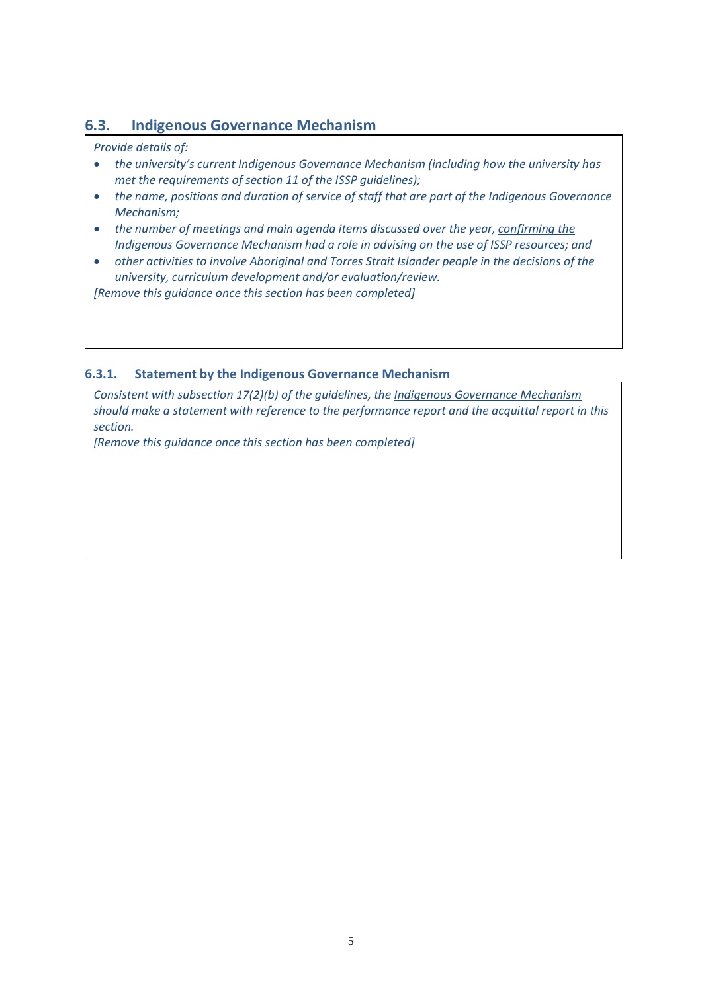## **6.3. Indigenous Governance Mechanism**

#### *Provide details of:*

- *the university's current Indigenous Governance Mechanism (including how the university has met the requirements of section 11 of the ISSP guidelines);*
- *the name, positions and duration of service of staff that are part of the Indigenous Governance Mechanism;*
- *the number of meetings and main agenda items discussed over the year, confirming the Indigenous Governance Mechanism had a role in advising on the use of ISSP resources; and*
- *other activities to involve Aboriginal and Torres Strait Islander people in the decisions of the university, curriculum development and/or evaluation/review. [Remove this guidance once this section has been completed]*

## **6.3.1. Statement by the Indigenous Governance Mechanism**

*Consistent with subsection 17(2)(b) of the guidelines, the Indigenous Governance Mechanism should make a statement with reference to the performance report and the acquittal report in this section.*

*[Remove this guidance once this section has been completed]*